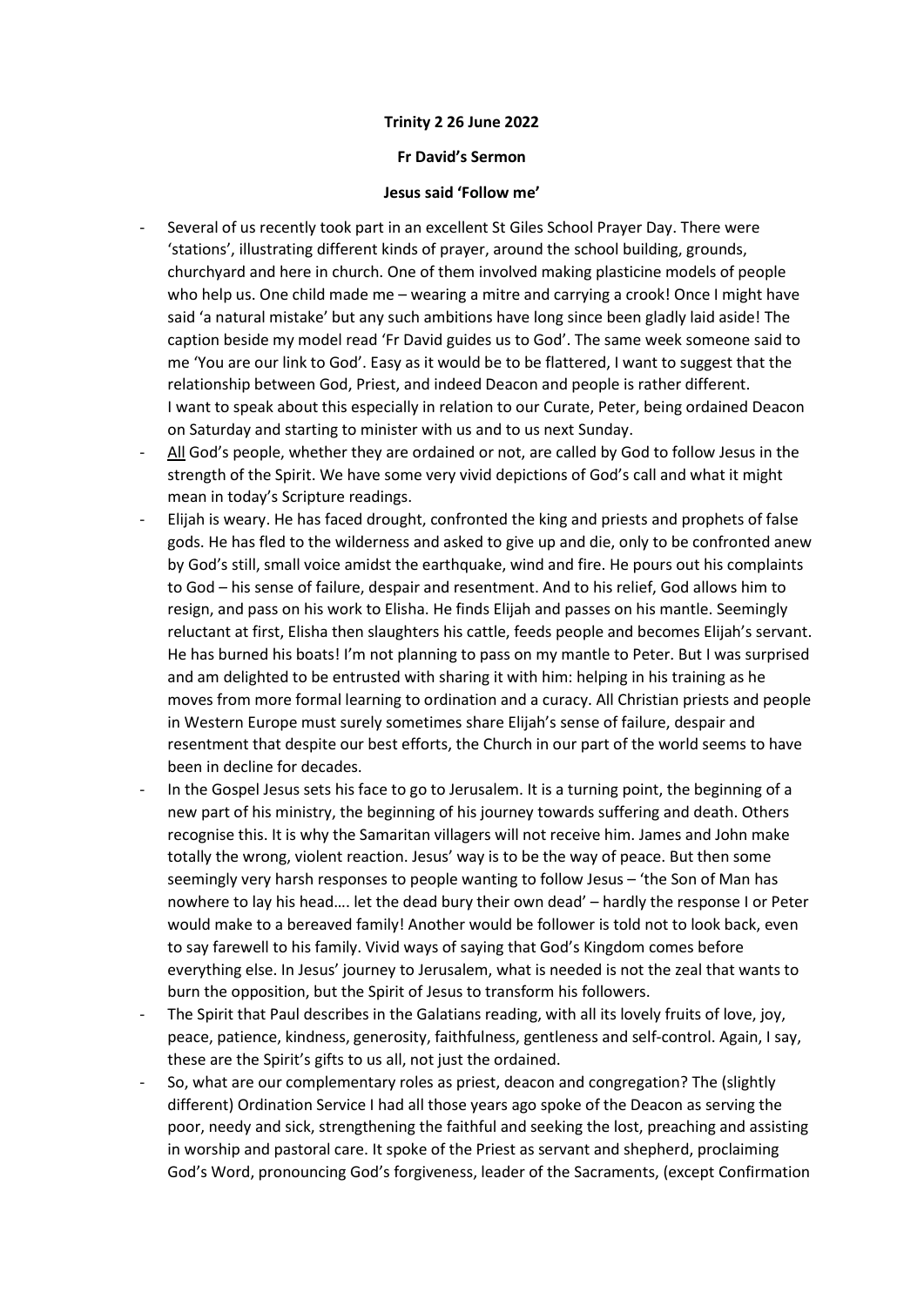## Trinity 2 26 June 2022

## Fr David's Sermon

## Jesus said 'Follow me'

- Several of us recently took part in an excellent St Giles School Prayer Day. There were 'stations', illustrating different kinds of prayer, around the school building, grounds, churchyard and here in church. One of them involved making plasticine models of people who help us. One child made me – wearing a mitre and carrying a crook! Once I might have said 'a natural mistake' but any such ambitions have long since been gladly laid aside! The caption beside my model read 'Fr David guides us to God'. The same week someone said to me 'You are our link to God'. Easy as it would be to be flattered, I want to suggest that the relationship between God, Priest, and indeed Deacon and people is rather different. I want to speak about this especially in relation to our Curate, Peter, being ordained Deacon on Saturday and starting to minister with us and to us next Sunday.
- All God's people, whether they are ordained or not, are called by God to follow Jesus in the strength of the Spirit. We have some very vivid depictions of God's call and what it might mean in today's Scripture readings.
- Elijah is weary. He has faced drought, confronted the king and priests and prophets of false gods. He has fled to the wilderness and asked to give up and die, only to be confronted anew by God's still, small voice amidst the earthquake, wind and fire. He pours out his complaints to God – his sense of failure, despair and resentment. And to his relief, God allows him to resign, and pass on his work to Elisha. He finds Elijah and passes on his mantle. Seemingly reluctant at first, Elisha then slaughters his cattle, feeds people and becomes Elijah's servant. He has burned his boats! I'm not planning to pass on my mantle to Peter. But I was surprised and am delighted to be entrusted with sharing it with him: helping in his training as he moves from more formal learning to ordination and a curacy. All Christian priests and people in Western Europe must surely sometimes share Elijah's sense of failure, despair and resentment that despite our best efforts, the Church in our part of the world seems to have been in decline for decades.
- In the Gospel Jesus sets his face to go to Jerusalem. It is a turning point, the beginning of a new part of his ministry, the beginning of his journey towards suffering and death. Others recognise this. It is why the Samaritan villagers will not receive him. James and John make totally the wrong, violent reaction. Jesus' way is to be the way of peace. But then some seemingly very harsh responses to people wanting to follow Jesus – 'the Son of Man has nowhere to lay his head…. let the dead bury their own dead' – hardly the response I or Peter would make to a bereaved family! Another would be follower is told not to look back, even to say farewell to his family. Vivid ways of saying that God's Kingdom comes before everything else. In Jesus' journey to Jerusalem, what is needed is not the zeal that wants to burn the opposition, but the Spirit of Jesus to transform his followers.
- The Spirit that Paul describes in the Galatians reading, with all its lovely fruits of love, joy, peace, patience, kindness, generosity, faithfulness, gentleness and self-control. Again, I say, these are the Spirit's gifts to us all, not just the ordained.
- So, what are our complementary roles as priest, deacon and congregation? The (slightly different) Ordination Service I had all those years ago spoke of the Deacon as serving the poor, needy and sick, strengthening the faithful and seeking the lost, preaching and assisting in worship and pastoral care. It spoke of the Priest as servant and shepherd, proclaiming God's Word, pronouncing God's forgiveness, leader of the Sacraments, (except Confirmation